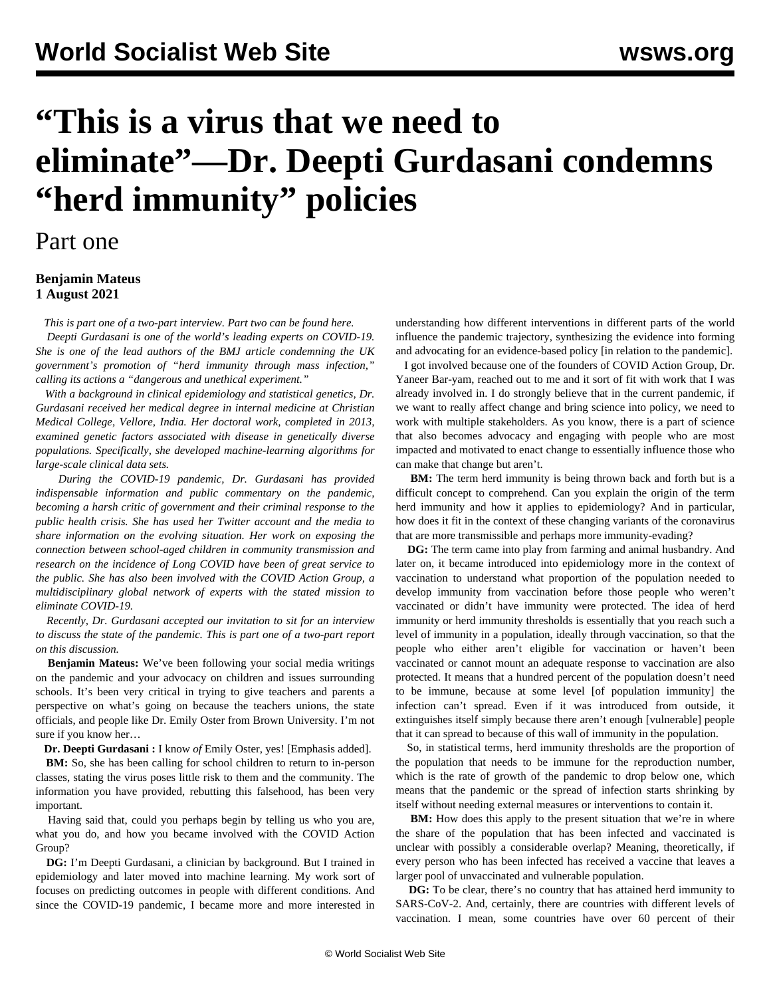## **"This is a virus that we need to eliminate"—Dr. Deepti Gurdasani condemns "herd immunity" policies**

## Part one

## **Benjamin Mateus 1 August 2021**

*This is part one of a two-part interview. Part two can be found [here](/en/articles/2021/08/03/gurd-a03.html).*

 *Deepti Gurdasani is one of the world's leading experts on COVID-19. She is one of the lead authors of the BMJ [article](https://blogs.bmj.com/bmj/2021/07/15/governments-plan-recklessly-exposes-millions-in-the-uk-to-infection-when-they-could-be-vaccinated/) condemning the UK government's promotion of "herd immunity through mass infection," calling its actions a "dangerous and unethical experiment."*

 *With a background in clinical epidemiology and statistical genetics, Dr. Gurdasani received her medical degree in internal medicine at Christian Medical College, Vellore, India. Her doctoral work, completed in 2013, examined genetic factors associated with disease in genetically diverse populations. Specifically, she developed machine-learning algorithms for large-scale clinical data sets.*

 *During the COVID-19 pandemic, Dr. Gurdasani has provided indispensable information and public commentary on the pandemic, becoming a harsh critic of government and their criminal response to the public health crisis. She has used her Twitter account and the media to share information on the evolving situation. Her work on exposing the connection between school-aged children in community transmission and research on the incidence of Long COVID have been of great service to the public. She has also been involved with the COVID Action Group, a multidisciplinary global network of experts with the stated mission to eliminate COVID-19.*

 *Recently, Dr. Gurdasani accepted our invitation to sit for an interview to discuss the state of the pandemic. This is part one of a two-part report on this discussion.*

 **Benjamin Mateus:** We've been following your social media writings on the pandemic and your advocacy on children and issues surrounding schools. It's been very critical in trying to give teachers and parents a perspective on what's going on because the teachers unions, the state officials, and people like Dr. Emily Oster from Brown University. I'm not sure if you know her…

**Dr. Deepti Gurdasani :** I know *of* Emily Oster, yes! [Emphasis added].

**BM:** So, she has been calling for school children to return to in-person classes, stating the virus poses little risk to them and the community. The information you have provided, rebutting this falsehood, has been very important.

 Having said that, could you perhaps begin by telling us who you are, what you do, and how you became involved with the COVID Action Group?

 **DG:** I'm Deepti Gurdasani, a clinician by background. But I trained in epidemiology and later moved into machine learning. My work sort of focuses on predicting outcomes in people with different conditions. And since the COVID-19 pandemic, I became more and more interested in understanding how different interventions in different parts of the world influence the pandemic trajectory, synthesizing the evidence into forming and advocating for an evidence-based policy [in relation to the pandemic].

 I got involved because one of the founders of COVID Action Group, Dr. Yaneer Bar-yam, reached out to me and it sort of fit with work that I was already involved in. I do strongly believe that in the current pandemic, if we want to really affect change and bring science into policy, we need to work with multiple stakeholders. As you know, there is a part of science that also becomes advocacy and engaging with people who are most impacted and motivated to enact change to essentially influence those who can make that change but aren't.

**BM:** The term herd immunity is being thrown back and forth but is a difficult concept to comprehend. Can you explain the origin of the term herd immunity and how it applies to epidemiology? And in particular, how does it fit in the context of these changing variants of the coronavirus that are more transmissible and perhaps more immunity-evading?

 **DG:** The term came into play from farming and animal husbandry. And later on, it became introduced into epidemiology more in the context of vaccination to understand what proportion of the population needed to develop immunity from vaccination before those people who weren't vaccinated or didn't have immunity were protected. The idea of herd immunity or herd immunity thresholds is essentially that you reach such a level of immunity in a population, ideally through vaccination, so that the people who either aren't eligible for vaccination or haven't been vaccinated or cannot mount an adequate response to vaccination are also protected. It means that a hundred percent of the population doesn't need to be immune, because at some level [of population immunity] the infection can't spread. Even if it was introduced from outside, it extinguishes itself simply because there aren't enough [vulnerable] people that it can spread to because of this wall of immunity in the population.

 So, in statistical terms, herd immunity thresholds are the proportion of the population that needs to be immune for the reproduction number, which is the rate of growth of the pandemic to drop below one, which means that the pandemic or the spread of infection starts shrinking by itself without needing external measures or interventions to contain it.

**BM:** How does this apply to the present situation that we're in where the share of the population that has been infected and vaccinated is unclear with possibly a considerable overlap? Meaning, theoretically, if every person who has been infected has received a vaccine that leaves a larger pool of unvaccinated and vulnerable population.

 **DG:** To be clear, there's no country that has attained herd immunity to SARS-CoV-2. And, certainly, there are countries with different levels of vaccination. I mean, some countries have over 60 percent of their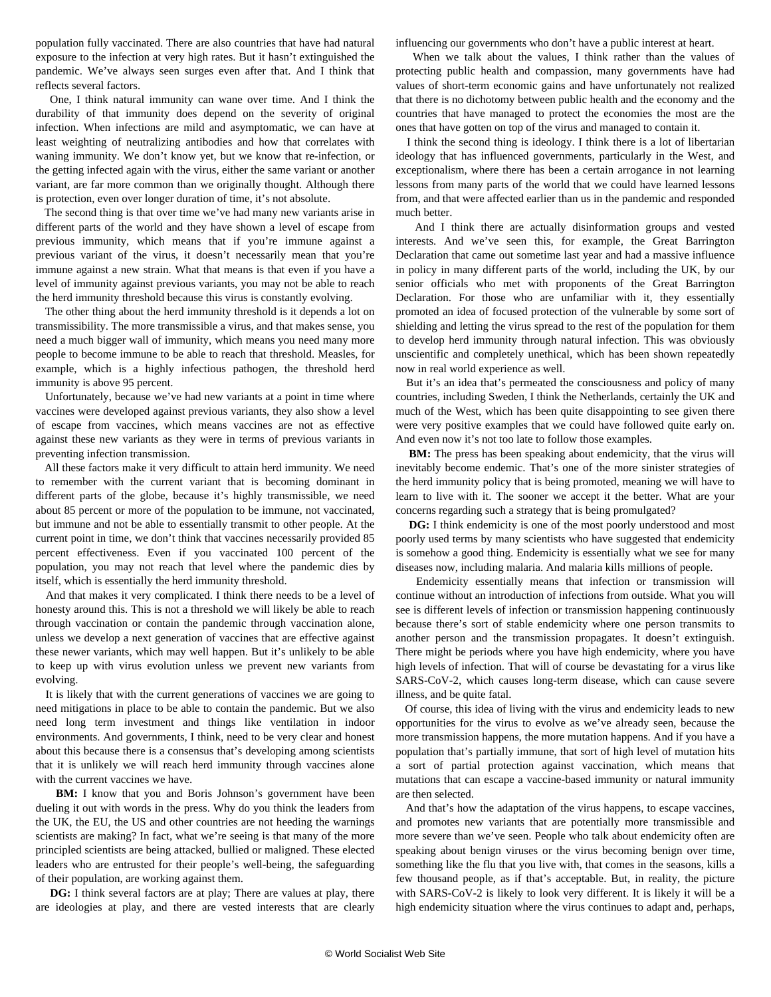population fully vaccinated. There are also countries that have had natural exposure to the infection at very high rates. But it hasn't extinguished the pandemic. We've always seen surges even after that. And I think that reflects several factors.

 One, I think natural immunity can wane over time. And I think the durability of that immunity does depend on the severity of original infection. When infections are mild and asymptomatic, we can have at least weighting of neutralizing antibodies and how that correlates with waning immunity. We don't know yet, but we know that re-infection, or the getting infected again with the virus, either the same variant or another variant, are far more common than we originally thought. Although there is protection, even over longer duration of time, it's not absolute.

 The second thing is that over time we've had many new variants arise in different parts of the world and they have shown a level of escape from previous immunity, which means that if you're immune against a previous variant of the virus, it doesn't necessarily mean that you're immune against a new strain. What that means is that even if you have a level of immunity against previous variants, you may not be able to reach the herd immunity threshold because this virus is constantly evolving.

 The other thing about the herd immunity threshold is it depends a lot on transmissibility. The more transmissible a virus, and that makes sense, you need a much bigger wall of immunity, which means you need many more people to become immune to be able to reach that threshold. Measles, for example, which is a highly infectious pathogen, the threshold herd immunity is above 95 percent.

 Unfortunately, because we've had new variants at a point in time where vaccines were developed against previous variants, they also show a level of escape from vaccines, which means vaccines are not as effective against these new variants as they were in terms of previous variants in preventing infection transmission.

 All these factors make it very difficult to attain herd immunity. We need to remember with the current variant that is becoming dominant in different parts of the globe, because it's highly transmissible, we need about 85 percent or more of the population to be immune, not vaccinated, but immune and not be able to essentially transmit to other people. At the current point in time, we don't think that vaccines necessarily provided 85 percent effectiveness. Even if you vaccinated 100 percent of the population, you may not reach that level where the pandemic dies by itself, which is essentially the herd immunity threshold.

 And that makes it very complicated. I think there needs to be a level of honesty around this. This is not a threshold we will likely be able to reach through vaccination or contain the pandemic through vaccination alone, unless we develop a next generation of vaccines that are effective against these newer variants, which may well happen. But it's unlikely to be able to keep up with virus evolution unless we prevent new variants from evolving.

 It is likely that with the current generations of vaccines we are going to need mitigations in place to be able to contain the pandemic. But we also need long term investment and things like ventilation in indoor environments. And governments, I think, need to be very clear and honest about this because there is a consensus that's developing among scientists that it is unlikely we will reach herd immunity through vaccines alone with the current vaccines we have.

**BM:** I know that you and Boris Johnson's government have been dueling it out with words in the press. Why do you think the leaders from the UK, the EU, the US and other countries are not heeding the warnings scientists are making? In fact, what we're seeing is that many of the more principled scientists are being attacked, bullied or maligned. These elected leaders who are entrusted for their people's well-being, the safeguarding of their population, are working against them.

 **DG:** I think several factors are at play; There are values at play, there are ideologies at play, and there are vested interests that are clearly

influencing our governments who don't have a public interest at heart.

 When we talk about the values, I think rather than the values of protecting public health and compassion, many governments have had values of short-term economic gains and have unfortunately not realized that there is no dichotomy between public health and the economy and the countries that have managed to protect the economies the most are the ones that have gotten on top of the virus and managed to contain it.

 I think the second thing is ideology. I think there is a lot of libertarian ideology that has influenced governments, particularly in the West, and exceptionalism, where there has been a certain arrogance in not learning lessons from many parts of the world that we could have learned lessons from, and that were affected earlier than us in the pandemic and responded much better.

 And I think there are actually disinformation groups and vested interests. And we've seen this, for example, the Great Barrington Declaration that came out sometime last year and had a massive influence in policy in many different parts of the world, including the UK, by our senior officials who met with proponents of the Great Barrington Declaration. For those who are unfamiliar with it, they essentially promoted an idea of focused protection of the vulnerable by some sort of shielding and letting the virus spread to the rest of the population for them to develop herd immunity through natural infection. This was obviously unscientific and completely unethical, which has been shown repeatedly now in real world experience as well.

 But it's an idea that's permeated the consciousness and policy of many countries, including Sweden, I think the Netherlands, certainly the UK and much of the West, which has been quite disappointing to see given there were very positive examples that we could have followed quite early on. And even now it's not too late to follow those examples.

 **BM:** The press has been speaking about endemicity, that the virus will inevitably become endemic. That's one of the more sinister strategies of the herd immunity policy that is being promoted, meaning we will have to learn to live with it. The sooner we accept it the better. What are your concerns regarding such a strategy that is being promulgated?

 **DG:** I think endemicity is one of the most poorly understood and most poorly used terms by many scientists who have suggested that endemicity is somehow a good thing. Endemicity is essentially what we see for many diseases now, including malaria. And malaria kills millions of people.

 Endemicity essentially means that infection or transmission will continue without an introduction of infections from outside. What you will see is different levels of infection or transmission happening continuously because there's sort of stable endemicity where one person transmits to another person and the transmission propagates. It doesn't extinguish. There might be periods where you have high endemicity, where you have high levels of infection. That will of course be devastating for a virus like SARS-CoV-2, which causes long-term disease, which can cause severe illness, and be quite fatal.

 Of course, this idea of living with the virus and endemicity leads to new opportunities for the virus to evolve as we've already seen, because the more transmission happens, the more mutation happens. And if you have a population that's partially immune, that sort of high level of mutation hits a sort of partial protection against vaccination, which means that mutations that can escape a vaccine-based immunity or natural immunity are then selected.

 And that's how the adaptation of the virus happens, to escape vaccines, and promotes new variants that are potentially more transmissible and more severe than we've seen. People who talk about endemicity often are speaking about benign viruses or the virus becoming benign over time, something like the flu that you live with, that comes in the seasons, kills a few thousand people, as if that's acceptable. But, in reality, the picture with SARS-CoV-2 is likely to look very different. It is likely it will be a high endemicity situation where the virus continues to adapt and, perhaps,